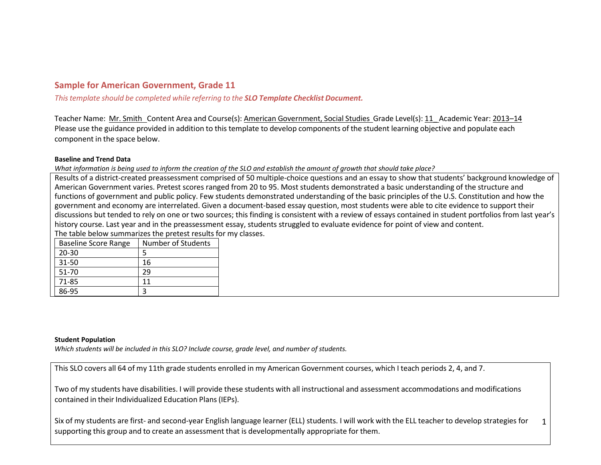# **Sample for American Government, Grade 11**

*Thistemplate should be completed while referring to the SLO Template Checklist Document.*

Teacher Name: Mr. Smith Content Area and Course(s): American Government, Social Studies Grade Level(s): 11\_ Academic Year: 2013–14 Please use the guidance provided in addition to this template to develop components of the student learning objective and populate each component in the space below.

### **Baseline and Trend Data**

*What information is being used to inform the creation of the SLO and establish the amount of growth that should take place?*

Results of a district-created preassessment comprised of 50 multiple-choice questions and an essay to show that students' background knowledge of American Government varies. Pretest scores ranged from 20 to 95. Most students demonstrated a basic understanding of the structure and functions of government and public policy. Few students demonstrated understanding of the basic principles of the U.S. Constitution and how the government and economy are interrelated. Given a document‐based essay question, most students were able to cite evidence to support their discussions but tended to rely on one or two sources; this finding is consistent with a review of essays contained in student portfolios from last year's history course. Last year and in the preassessment essay, students struggled to evaluate evidence for point of view and content.

The table below summarizes the pretest results for my classes.

| <b>Baseline Score Range</b> | Number of Students |
|-----------------------------|--------------------|
| $20 - 30$                   |                    |
| 31-50                       | 16                 |
| 51-70                       | 29                 |
| 71-85                       | 11                 |
| 86-95                       |                    |

#### **Student Population**

*Which students will be included in this SLO? Include course, grade level, and number of students.*

This SLO covers all 64 of my 11th grade students enrolled in my American Government courses, which I teach periods 2, 4, and 7.

Two of my students have disabilities. I will provide these students with all instructional and assessment accommodations and modifications contained in their Individualized Education Plans(IEPs).

1 Six of my students are first‐ and second‐year English language learner (ELL) students. I will work with the ELL teacher to develop strategies for supporting this group and to create an assessment that is developmentally appropriate for them.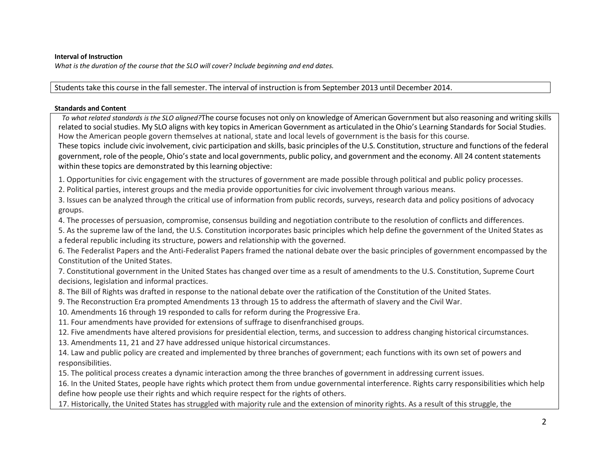## **Interval of Instruction**

*What is the duration of the course that the SLO will cover? Include beginning and end dates.*

Students take this course in the fall semester. The interval of instruction is from September 2013 until December 2014.

### **Standards and Content**

 *To what related standards is the SLO aligned?*The course focuses not only on knowledge of American Government but also reasoning and writing skills related to social studies. My SLO aligns with key topics in American Government as articulated in the Ohio's Learning Standards for Social Studies. How the American people govern themselves at national, state and local levels of government is the basis for this course.

These topics include civic involvement, civic participation and skills, basic principles of the U.S. Constitution, structure and functions of the federal government, role of the people, Ohio'sstate and local governments, public policy, and government and the economy. All 24 contentstatements within these topics are demonstrated by this learning objective:

1. Opportunities for civic engagement with the structures of government are made possible through political and public policy processes.

2. Political parties, interest groups and the media provide opportunities for civic involvement through various means.

3. Issues can be analyzed through the critical use of information from public records, surveys, research data and policy positions of advocacy groups.

4. The processes of persuasion, compromise, consensus building and negotiation contribute to the resolution of conflicts and differences.

5. As the supreme law of the land, the U.S. Constitution incorporates basic principles which help define the government of the United States as

a federal republic including its structure, powers and relationship with the governed.

6. The Federalist Papers and the Anti-Federalist Papers framed the national debate over the basic principles of government encompassed by the Constitution of the United States.

7. Constitutional government in the United States has changed over time as a result of amendments to the U.S. Constitution, Supreme Court decisions, legislation and informal practices.

8. The Bill of Rights was drafted in response to the national debate over the ratification of the Constitution of the United States.

9. The Reconstruction Era prompted Amendments 13 through 15 to address the aftermath of slavery and the Civil War.

10. Amendments 16 through 19 responded to calls for reform during the Progressive Era.

11. Four amendments have provided for extensions of suffrage to disenfranchised groups.

12. Five amendments have altered provisions for presidential election, terms, and succession to address changing historical circumstances.

13. Amendments 11, 21 and 27 have addressed unique historical circumstances.

14. Law and public policy are created and implemented by three branches of government; each functions with its own set of powers and responsibilities.

15. The political process creates a dynamic interaction among the three branches of government in addressing current issues.

16. In the United States, people have rights which protect them from undue governmental interference. Rights carry responsibilities which help define how people use their rights and which require respect for the rights of others.

17. Historically, the United States has struggled with majority rule and the extension of minority rights. As a result of this struggle, the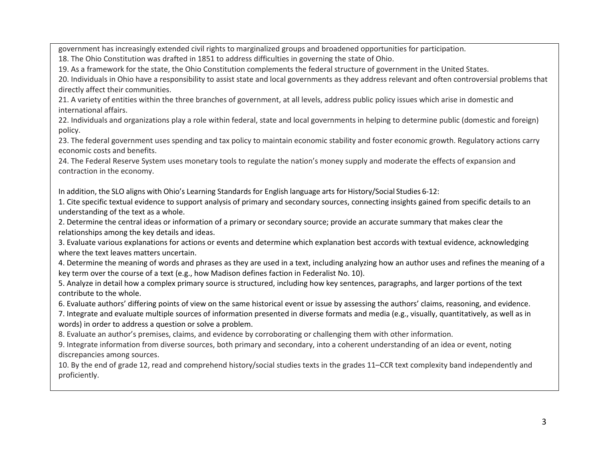government has increasingly extended civil rights to marginalized groups and broadened opportunities for participation.

18. The Ohio Constitution was drafted in 1851 to address difficulties in governing the state of Ohio.

19. As a framework for the state, the Ohio Constitution complements the federal structure of government in the United States.

20. Individuals in Ohio have a responsibility to assist state and local governments as they address relevant and often controversial problems that directly affect their communities.

21. A variety of entities within the three branches of government, at all levels, address public policy issues which arise in domestic and international affairs.

22. Individuals and organizations play a role within federal, state and local governments in helping to determine public (domestic and foreign) policy.

23. The federal government uses spending and tax policy to maintain economic stability and foster economic growth. Regulatory actions carry economic costs and benefits.

24. The Federal Reserve System uses monetary tools to regulate the nation's money supply and moderate the effects of expansion and contraction in the economy.

In addition, the SLO aligns with Ohio's Learning Standards for English language arts for History/Social Studies 6-12:

1. Cite specific textual evidence to support analysis of primary and secondary sources, connecting insights gained from specific details to an understanding of the text as a whole.

2. Determine the central ideas or information of a primary or secondary source; provide an accurate summary that makes clear the relationships among the key details and ideas.

3. Evaluate various explanations for actions or events and determine which explanation best accords with textual evidence, acknowledging where the text leaves matters uncertain.

4. Determine the meaning of words and phrases as they are used in a text, including analyzing how an author uses and refines the meaning of a key term over the course of a text (e.g., how Madison defines faction in Federalist No. 10).

5. Analyze in detail how a complex primary source is structured, including how key sentences, paragraphs, and larger portions of the text contribute to the whole.

6. Evaluate authors' differing points of view on the same historical event or issue by assessing the authors' claims, reasoning, and evidence.

7. Integrate and evaluate multiple sources of information presented in diverse formats and media (e.g., visually, quantitatively, as well as in words) in order to address a question or solve a problem.

8. Evaluate an author's premises, claims, and evidence by corroborating or challenging them with other information.

9. Integrate information from diverse sources, both primary and secondary, into a coherent understanding of an idea or event, noting discrepancies among sources.

10. By the end of grade 12, read and comprehend history/social studies texts in the grades 11–CCR text complexity band independently and proficiently.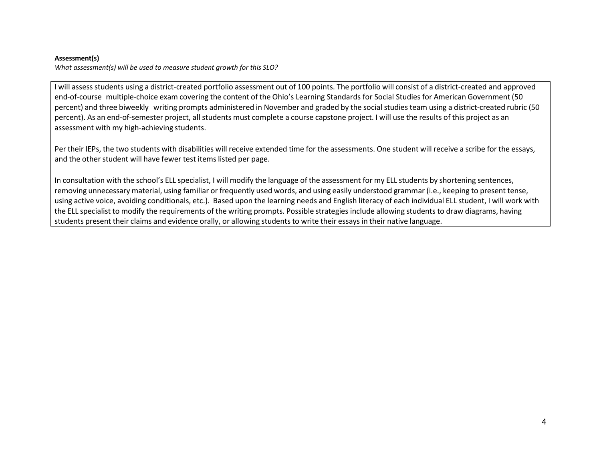#### **Assessment(s)**

*What assessment(s) will be used to measure student growth for this SLO?*

I will assess students using a district-created portfolio assessment out of 100 points. The portfolio will consist of a district-created and approved end-of-course multiple-choice exam covering the content of the Ohio's Learning Standards for Social Studies for American Government (50 percent) and three biweekly writing prompts administered in November and graded by the social studies team using a district-created rubric (50 percent). As an end-of-semester project, all students must complete a course capstone project. I will use the results of this project as an assessment with my high‐achieving students.

Per their IEPs, the two students with disabilities will receive extended time for the assessments. One student will receive a scribe for the essays, and the other student will have fewer test items listed per page.

In consultation with the school's ELL specialist, I will modify the language of the assessment for my ELL students by shortening sentences, removing unnecessary material, using familiar or frequently used words, and using easily understood grammar (i.e., keeping to present tense, using active voice, avoiding conditionals, etc.). Based upon the learning needs and English literacy of each individual ELL student, I will work with the ELL specialist to modify the requirements of the writing prompts. Possible strategies include allowing students to draw diagrams, having students present their claims and evidence orally, or allowing students to write their essays in their native language.